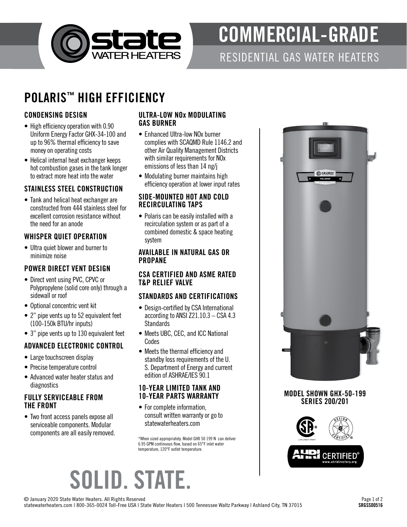

# COMMERCIAL-GRADE

RESIDENTIAL GAS WATER HEATERS

### POLARIS™ HIGH EFFICIENCY

#### CONDENSING DESIGN

- High efficiency operation with 0.90 Uniform Energy Factor GHX-34-100 and up to 96% thermal efficiency to save money on operating costs
- Helical internal heat exchanger keeps hot combustion gases in the tank longer to extract more heat into the water

#### STAINLESS STEEL CONSTRUCTION

• Tank and helical heat exchanger are constructed from 444 stainless steel for excellent corrosion resistance without the need for an anode

#### WHISPER QUIET OPERATION

• Ultra quiet blower and burner to minimize noise

#### POWER DIRECT VENT DESIGN

- Direct vent using PVC, CPVC or Polypropylene (solid core only) through a sidewall or roof
- Optional concentric vent kit
- 2" pipe vents up to 52 equivalent feet (100-150k BTU/hr inputs)
- 3" pipe vents up to 130 equivalent feet

#### ADVANCED ELECTRONIC CONTROL

- Large touchscreen display
- Precise temperature control
- Advanced water heater status and diagnostics

#### FULLY SERVICEABLE FROM THE FRONT

• Two front access panels expose all serviceable components. Modular components are all easily removed.

#### ULTRA-LOW NOx MODULATING GAS BURNER

- Enhanced Ultra-low NO<sub>x</sub> burner complies with SCAQMD Rule 1146.2 and other Air Quality Management Districts with similar requirements for NOx emissions of less than 14 ng/j
- Modulating burner maintains high efficiency operation at lower input rates

#### SIDE-MOUNTED HOT AND COLD RECIRCULATING TAPS

• Polaris can be easily installed with a recirculation system or as part of a combined domestic & space heating system

#### AVAILABLE IN NATURAL GAS OR PROPANE

#### CSA CERTIFIED AND ASME RATED T&P RELIEF VALVE

#### STANDARDS AND CERTIFICATIONS

- Design-certified by CSA International according to ANSI Z21.10.3 – CSA 4.3 Standards
- Meets UBC, CEC, and ICC National Codes
- Meets the thermal efficiency and standby loss requirements of the U. S. Department of Energy and current edition of ASHRAE/IES 90.1

#### 10-YEAR LIMITED TANK AND 10-YEAR PARTS WARRANTY

• For complete information, consult written warranty or go to statewaterheaters.com

\*When sized appropriately. Model GHX 50 199 N can deliver 6.95 GPM continuous flow, based on 65°F inlet water temperature, 120°F outlet temperature.



MODEL SHOWN GHX-50-199 SERIES 200/201



## SOLID. STATE.

© January 2020 State Water Heaters. All Rights Reserved statewaterheaters.com | 800-365-0024 Toll-Free USA | State Water Heaters | 500 Tennessee Waltz Parkway | Ashland City, TN 37015